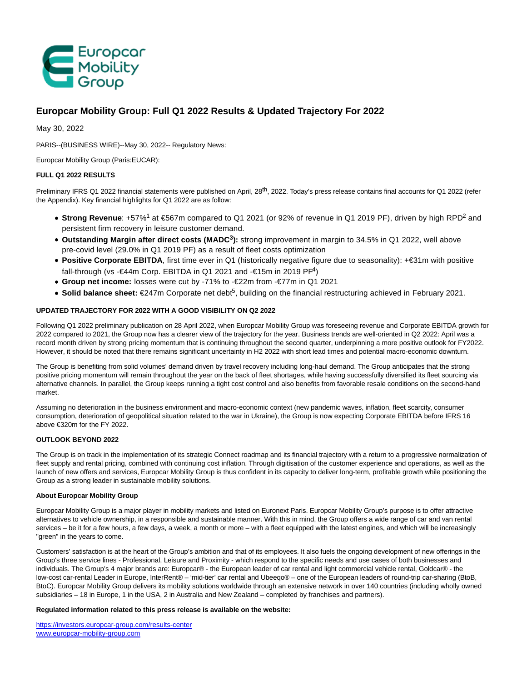

# **Europcar Mobility Group: Full Q1 2022 Results & Updated Trajectory For 2022**

May 30, 2022

PARIS--(BUSINESS WIRE)--May 30, 2022-- Regulatory News:

Europcar Mobility Group (Paris:EUCAR):

# **FULL Q1 2022 RESULTS**

Preliminary IFRS Q1 2022 financial statements were published on April, 28<sup>th</sup>, 2022. Today's press release contains final accounts for Q1 2022 (refer the Appendix). Key financial highlights for Q1 2022 are as follow:

- Strong Revenue: +57%<sup>1</sup> at €567m compared to Q1 2021 (or 92% of revenue in Q1 2019 PF), driven by high RPD<sup>2</sup> and persistent firm recovery in leisure customer demand.
- **Outstanding Margin after direct costs (MADC<sup>3</sup> ):** strong improvement in margin to 34.5% in Q1 2022, well above pre-covid level (29.0% in Q1 2019 PF) as a result of fleet costs optimization
- **Positive Corporate EBITDA**, first time ever in Q1 (historically negative figure due to seasonality): +€31m with positive fall-through (vs -€44m Corp. EBITDA in Q1 2021 and -€15m in 2019 PI<sup>4</sup>)
- **Group net income:** losses were cut by -71% to -€22m from -€77m in Q1 2021
- Solid balance sheet: €247m Corporate net deb<sup>6</sup>, building on the financial restructuring achieved in February 2021.

# **UPDATED TRAJECTORY FOR 2022 WITH A GOOD VISIBILITY ON Q2 2022**

Following Q1 2022 preliminary publication on 28 April 2022, when Europcar Mobility Group was foreseeing revenue and Corporate EBITDA growth for 2022 compared to 2021, the Group now has a clearer view of the trajectory for the year. Business trends are well-oriented in Q2 2022: April was a record month driven by strong pricing momentum that is continuing throughout the second quarter, underpinning a more positive outlook for FY2022. However, it should be noted that there remains significant uncertainty in H2 2022 with short lead times and potential macro-economic downturn.

The Group is benefiting from solid volumes' demand driven by travel recovery including long-haul demand. The Group anticipates that the strong positive pricing momentum will remain throughout the year on the back of fleet shortages, while having successfully diversified its fleet sourcing via alternative channels. In parallel, the Group keeps running a tight cost control and also benefits from favorable resale conditions on the second-hand market.

Assuming no deterioration in the business environment and macro-economic context (new pandemic waves, inflation, fleet scarcity, consumer consumption, deterioration of geopolitical situation related to the war in Ukraine), the Group is now expecting Corporate EBITDA before IFRS 16 above €320m for the FY 2022.

# **OUTLOOK BEYOND 2022**

The Group is on track in the implementation of its strategic Connect roadmap and its financial trajectory with a return to a progressive normalization of fleet supply and rental pricing, combined with continuing cost inflation. Through digitisation of the customer experience and operations, as well as the launch of new offers and services, Europcar Mobility Group is thus confident in its capacity to deliver long-term, profitable growth while positioning the Group as a strong leader in sustainable mobility solutions.

#### **About Europcar Mobility Group**

Europcar Mobility Group is a major player in mobility markets and listed on Euronext Paris. Europcar Mobility Group's purpose is to offer attractive alternatives to vehicle ownership, in a responsible and sustainable manner. With this in mind, the Group offers a wide range of car and van rental services – be it for a few hours, a few days, a week, a month or more – with a fleet equipped with the latest engines, and which will be increasingly "green" in the years to come.

Customers' satisfaction is at the heart of the Group's ambition and that of its employees. It also fuels the ongoing development of new offerings in the Group's three service lines - Professional, Leisure and Proximity - which respond to the specific needs and use cases of both businesses and individuals. The Group's 4 major brands are: Europcar® - the European leader of car rental and light commercial vehicle rental, Goldcar® - the low-cost car-rental Leader in Europe, InterRent® – 'mid-tier' car rental and Ubeeqo® – one of the European leaders of round-trip car-sharing (BtoB, BtoC). Europcar Mobility Group delivers its mobility solutions worldwide through an extensive network in over 140 countries (including wholly owned subsidiaries – 18 in Europe, 1 in the USA, 2 in Australia and New Zealand – completed by franchises and partners).

# **Regulated information related to this press release is available on the website:**

[https://investors.europcar-group.com/results-center](https://cts.businesswire.com/ct/CT?id=smartlink&url=https%3A%2F%2Finvestors.europcar-group.com%2Fresults-center&esheet=52734559&newsitemid=20220530005395&lan=en-US&anchor=https%3A%2F%2Finvestors.europcar-group.com%2Fresults-center&index=1&md5=7f1579d25cfb6fc0bf904963b8c5d271) [www.europcar-mobility-group.com](https://cts.businesswire.com/ct/CT?id=smartlink&url=http%3A%2F%2Fwww.europcar-mobility-group.com&esheet=52734559&newsitemid=20220530005395&lan=en-US&anchor=www.europcar-mobility-group.com&index=2&md5=e81e04c52fee44f7633922edd2967b02)